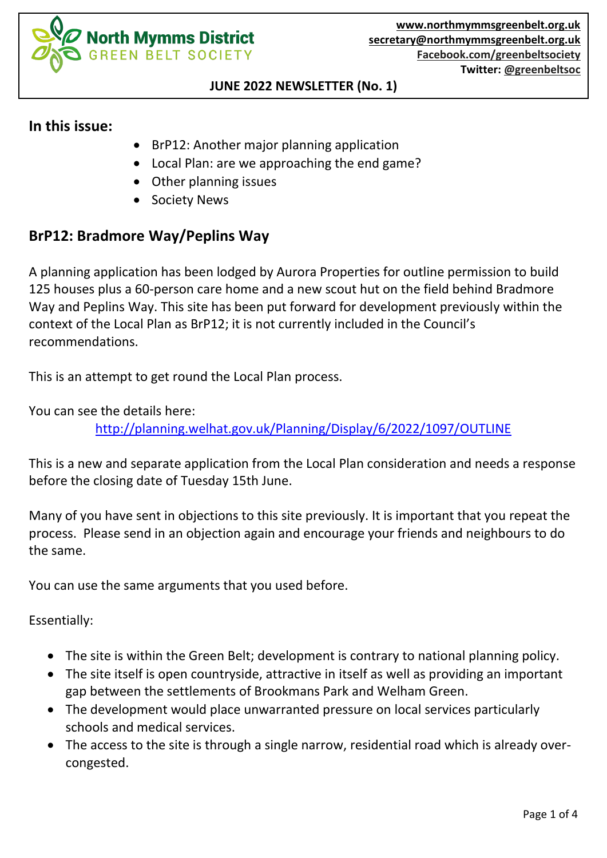

#### **JUNE 2022 NEWSLETTER (No. 1)**

#### **In this issue:**

- BrP12: Another major planning application
- Local Plan: are we approaching the end game?
- Other planning issues
- **Society News**

# **BrP12: Bradmore Way/Peplins Way**

A planning application has been lodged by Aurora Properties for outline permission to build 125 houses plus a 60-person care home and a new scout hut on the field behind Bradmore Way and Peplins Way. This site has been put forward for development previously within the context of the Local Plan as BrP12; it is not currently included in the Council's recommendations.

This is an attempt to get round the Local Plan process.

You can see the details here:

<http://planning.welhat.gov.uk/Planning/Display/6/2022/1097/OUTLINE>

This is a new and separate application from the Local Plan consideration and needs a response before the closing date of Tuesday 15th June.

Many of you have sent in objections to this site previously. It is important that you repeat the process. Please send in an objection again and encourage your friends and neighbours to do the same.

You can use the same arguments that you used before.

Essentially:

- The site is within the Green Belt; development is contrary to national planning policy.
- The site itself is open countryside, attractive in itself as well as providing an important gap between the settlements of Brookmans Park and Welham Green.
- The development would place unwarranted pressure on local services particularly schools and medical services.
- The access to the site is through a single narrow, residential road which is already overcongested.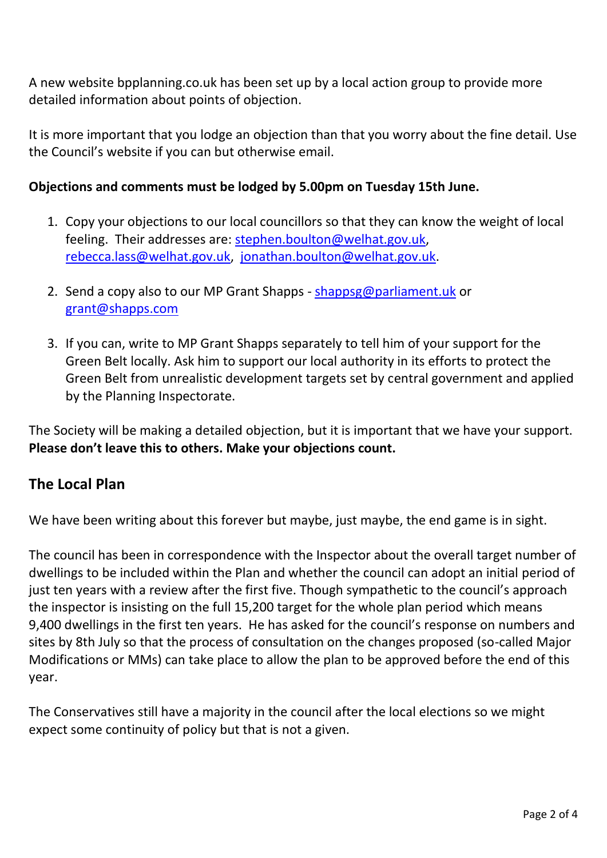A new website bpplanning.co.uk has been set up by a local action group to provide more detailed information about points of objection.

It is more important that you lodge an objection than that you worry about the fine detail. Use the Council's website if you can but otherwise email.

#### **Objections and comments must be lodged by 5.00pm on Tuesday 15th June.**

- 1. Copy your objections to our local councillors so that they can know the weight of local feeling. Their addresses are: [stephen.boulton@welhat.gov.uk,](mailto:stephen.boulton@welhat.gov.uk) [rebecca.lass@welhat.gov.uk,](mailto:rebecca.lass@welhat.gov.uk) [jonathan.boulton@welhat.gov.uk.](mailto:jonathan.boulton@welhat.gov.uk)
- 2. Send a copy also to our MP Grant Shapps [shappsg@parliament.uk](mailto:shappsg@parliament.uk) or [grant@shapps.com](mailto:grant@shapps.com)
- 3. If you can, write to MP Grant Shapps separately to tell him of your support for the Green Belt locally. Ask him to support our local authority in its efforts to protect the Green Belt from unrealistic development targets set by central government and applied by the Planning Inspectorate.

The Society will be making a detailed objection, but it is important that we have your support. **Please don't leave this to others. Make your objections count.**

### **The Local Plan**

We have been writing about this forever but maybe, just maybe, the end game is in sight.

The council has been in correspondence with the Inspector about the overall target number of dwellings to be included within the Plan and whether the council can adopt an initial period of just ten years with a review after the first five. Though sympathetic to the council's approach the inspector is insisting on the full 15,200 target for the whole plan period which means 9,400 dwellings in the first ten years. He has asked for the council's response on numbers and sites by 8th July so that the process of consultation on the changes proposed (so-called Major Modifications or MMs) can take place to allow the plan to be approved before the end of this year.

The Conservatives still have a majority in the council after the local elections so we might expect some continuity of policy but that is not a given.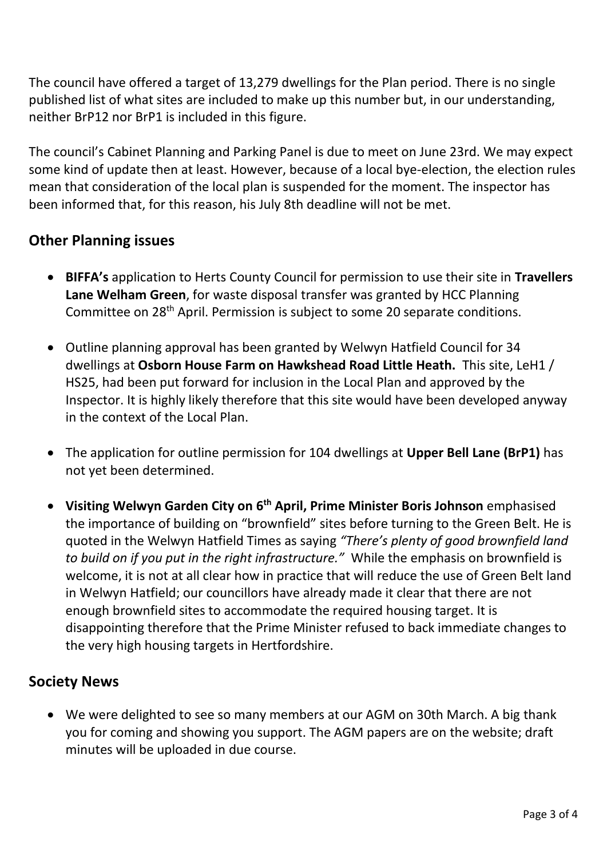The council have offered a target of 13,279 dwellings for the Plan period. There is no single published list of what sites are included to make up this number but, in our understanding, neither BrP12 nor BrP1 is included in this figure.

The council's Cabinet Planning and Parking Panel is due to meet on June 23rd. We may expect some kind of update then at least. However, because of a local bye-election, the election rules mean that consideration of the local plan is suspended for the moment. The inspector has been informed that, for this reason, his July 8th deadline will not be met.

# **Other Planning issues**

- **BIFFA's** application to Herts County Council for permission to use their site in **Travellers Lane Welham Green**, for waste disposal transfer was granted by HCC Planning Committee on 28<sup>th</sup> April. Permission is subject to some 20 separate conditions.
- Outline planning approval has been granted by Welwyn Hatfield Council for 34 dwellings at **Osborn House Farm on Hawkshead Road Little Heath.** This site, LeH1 / HS25, had been put forward for inclusion in the Local Plan and approved by the Inspector. It is highly likely therefore that this site would have been developed anyway in the context of the Local Plan.
- The application for outline permission for 104 dwellings at **Upper Bell Lane (BrP1)** has not yet been determined.
- **Visiting Welwyn Garden City on 6th April, Prime Minister Boris Johnson** emphasised the importance of building on "brownfield" sites before turning to the Green Belt. He is quoted in the Welwyn Hatfield Times as saying *"There's plenty of good brownfield land to build on if you put in the right infrastructure."* While the emphasis on brownfield is welcome, it is not at all clear how in practice that will reduce the use of Green Belt land in Welwyn Hatfield; our councillors have already made it clear that there are not enough brownfield sites to accommodate the required housing target. It is disappointing therefore that the Prime Minister refused to back immediate changes to the very high housing targets in Hertfordshire.

# **Society News**

• We were delighted to see so many members at our AGM on 30th March. A big thank you for coming and showing you support. The AGM papers are on the website; draft minutes will be uploaded in due course.